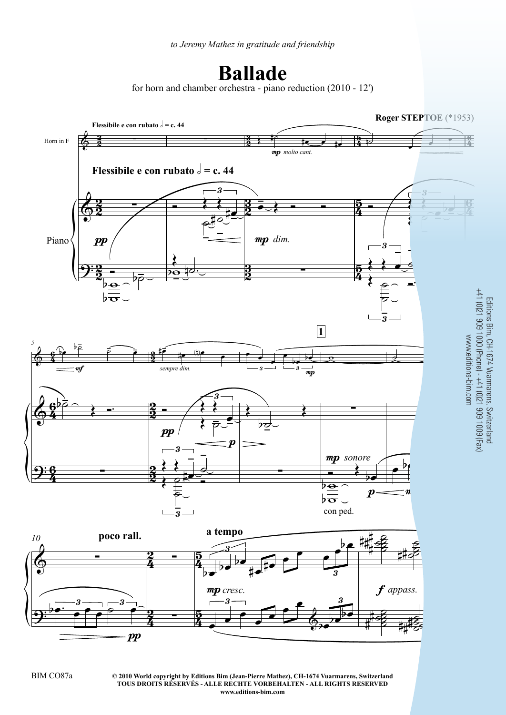## **Ballade**

for horn and chamber orchestra - piano reduction (2010 - 12')



**© 2010 World copyright by Editions Bim (Jean-Pierre Mathez), CH-1674 Vuarmarens, SwitzerlandTOUS DROITS RÉSERVÉS - ALLE RECHTE VORBEHALTEN - ALL RIGHTS RESERVEDwww.editions-bim.com**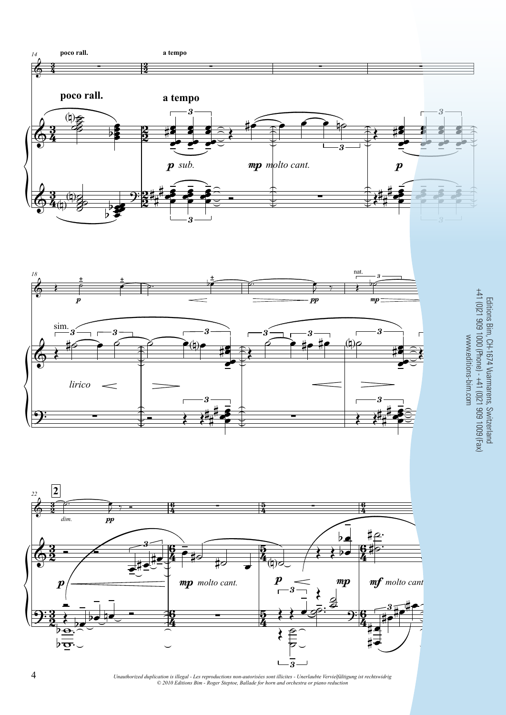





<sub>2</sub><br>2

Unauthorized duplication is illegal - Les reproductions non-autorisées sont illicites - Unerlaubte Vervielfältigung ist rechtswidrig<br>© 2010 Editions Bim - Roger Steptoe, Ballade for horn and orchestra or piano reduction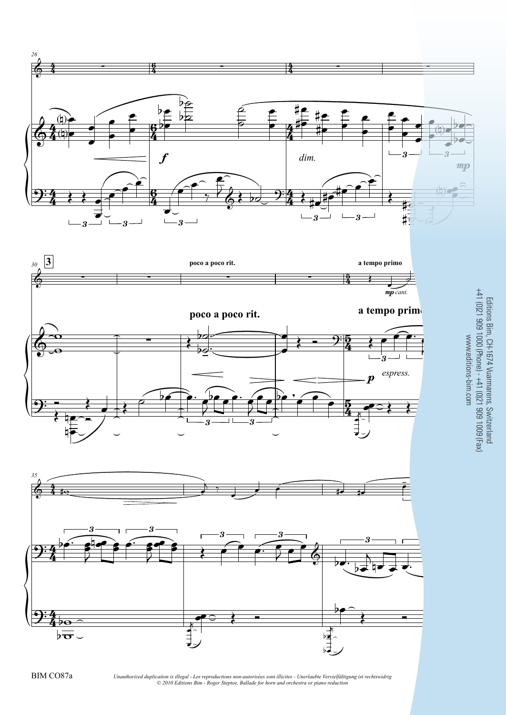

 $3 \longrightarrow$ 

 $\begin{array}{ccc} \cdot & \cdot & \cdot \\ \cdot & \cdot & \cdot \end{array}$ 



 $3$  and  $\overline{\phantom{a}}$  and  $\overline{\phantom{a}}$  and  $\overline{\phantom{a}}$  and  $\overline{\phantom{a}}$  and  $\overline{\phantom{a}}$  and  $\overline{\phantom{a}}$  and  $\overline{\phantom{a}}$  and  $\overline{\phantom{a}}$  and  $\overline{\phantom{a}}$  and  $\overline{\phantom{a}}$  and  $\overline{\phantom{a}}$  and  $\overline{\phantom{a}}$  and  $\overline{\phantom{a}}$  and  $\overline{\$ 

 $\bigcirc$ 

 $3 \longrightarrow$ 

 $506$ 

 $\frac{1}{2}$ 

 $r \rightarrow 0$ 



 $bc \overline{\phantom{aa}}$  $\overline{bc}$   $\overline{bc}$ 

 $\begin{array}{c|c}\n\begin{array}{c}\n\uparrow & \downarrow \\
\hline\n\downarrow & \downarrow \\
\hline\n\end{array} \\
\hline\n\end{array}$  $\begin{array}{c} \begin{array}{c} \uparrow \\ \uparrow \end{array} \end{array}$ 

**JULI** 

 $\overrightarrow{b}$ 



 $\Big\vert$ 2

 $\Bigg|$ 

*35*

 $4<sup>1</sup>$  $4$   $\frac{4}{1}$ 

 $64<sup>1</sup>$ 

 $\oint_{\mathcal{O}}$ 

 $\theta$ 

 $9: 7$ 

——∽<br>¶r ⊧—<br>∮

▅▁▁▁<br>▓▕<sub>▜</sub>▆<sub>▔</sub>▄▁▁▏▔

こ*ノ* 、

 $\frac{1}{\sqrt{2}}$ 

 $\begin{array}{ccc} \uparrow & & \bullet \\ \downarrow & & \end{array}$ 

<sup>w</sup> <sup>Œ</sup> ˙

–—  $\rightarrow$   $\rightarrow$   $\rightarrow$ 

 $\frac{1}{2}$   $\frac{1}{2}$   $\frac{1}{2}$   $\frac{1}{2}$   $\frac{1}{2}$   $\frac{1}{2}$   $\frac{1}{2}$   $\frac{1}{2}$   $\frac{1}{2}$   $\frac{1}{2}$   $\frac{1}{2}$   $\frac{1}{2}$   $\frac{1}{2}$   $\frac{1}{2}$   $\frac{1}{2}$   $\frac{1}{2}$   $\frac{1}{2}$   $\frac{1}{2}$   $\frac{1}{2}$   $\frac{1}{2}$   $\frac{1}{2}$   $\frac{1}{2}$ 

 $\begin{array}{c} \begin{array}{c} \bullet \\ \bullet \\ \end{array} \end{array}$ 

 $3 \longrightarrow -3 \longrightarrow$ 

 $n_{e}$ 

 $\frac{1}{2}$ 

 $\bullet$ 

 $4^{6}$  $\frac{4}{4}$ 

 $9:4^{6}$   $8^{100}$  8

 $\frac{1}{2}$ 

**Julie 1999**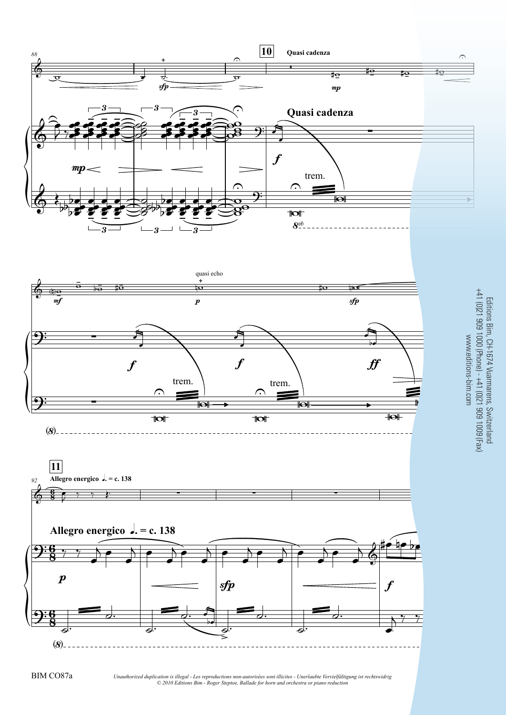





 $\pm$ m, C<br>101<br>9.mi, C  $\begin{array}{c}\n 0.0001 \\
 0.001 \\
 0.001\n\end{array}$ 16021<br>(0)<br>1605 ens, Sv<br>com<br>com<br>∴ Editions Bim, CH-1674 Vuarmarens, Switzerland +41 (0)21 909 1000 (Phone) - +41 (0)21 909 1009 (Fax) www.editions-bim.com

Unauthorized duplication is illegal - Les reproductions non-autorisées sont illicites - Unerlaubte Vervielfältigung ist rechtswidrig<br>© 2010 Editions Bim - Roger Steptoe, Ballade for horn and orchestra or piano reduction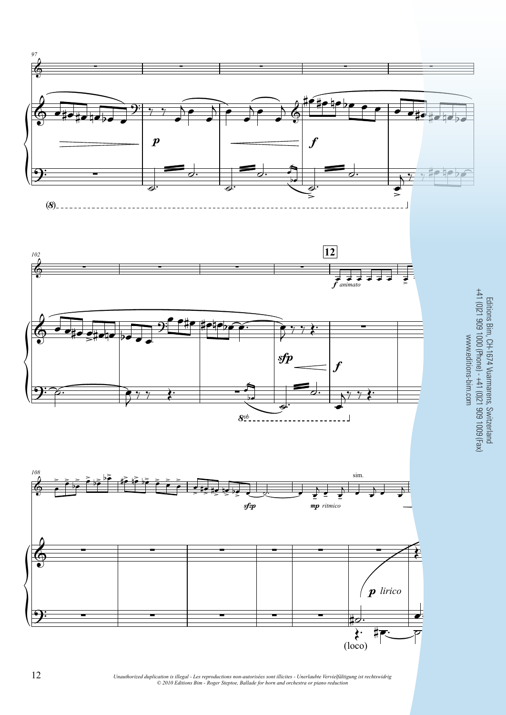

 $8^{vb}$ 

 $\begin{matrix} \bullet \\ \bullet \end{matrix}$   $\begin{matrix} \bullet \\ \bullet \end{matrix}$   $\begin{matrix} \bullet \\ \bullet \end{matrix}$   $\begin{matrix} \bullet \\ \bullet \end{matrix}$   $\begin{matrix} \bullet \\ \bullet \end{matrix}$   $\begin{matrix} \bullet \\ \bullet \end{matrix}$   $\begin{matrix} \bullet \\ \bullet \end{matrix}$   $\begin{matrix} \bullet \\ \bullet \end{matrix}$   $\begin{matrix} \bullet \\ \bullet \end{matrix}$   $\begin{matrix} \bullet \\ \bullet \end{matrix}$   $\begin{matrix} \bullet \\ \bullet \end{matrix}$   $\begin{matrix} \bullet \\ \bullet \end{matrix}$   $\begin{matrix$ 

 $\frac{1}{2}$ 

 $y \rightarrow \cdot$ 

œ



Editions Bim, CH-1674 Vuarmarens, Switzerland<br>+41 (0)21 909 1000 (Phone) - +41 (0)21 909 1009 (Fax)<br>www.editions-bim.com Editions Bim, CH-1674 Vuarmarens, Switzerland +41 (0)21 909 1000 (Phone) - +41 (0)21 909 1009 (Fax) www.editions-bim.com

 $BIN CO87a$ 

Unauthorized duplication is illegal - Les reproductions non-autorisées sont illicites - Unerlaubte Vervielfältigung ist rechtswidrig<br>© 2010 Editions Bim - Roger Steptoe, Ballade for horn and orchestra or piano reduction

 $\widetilde{\mathcal{C}}$  .

 $777$